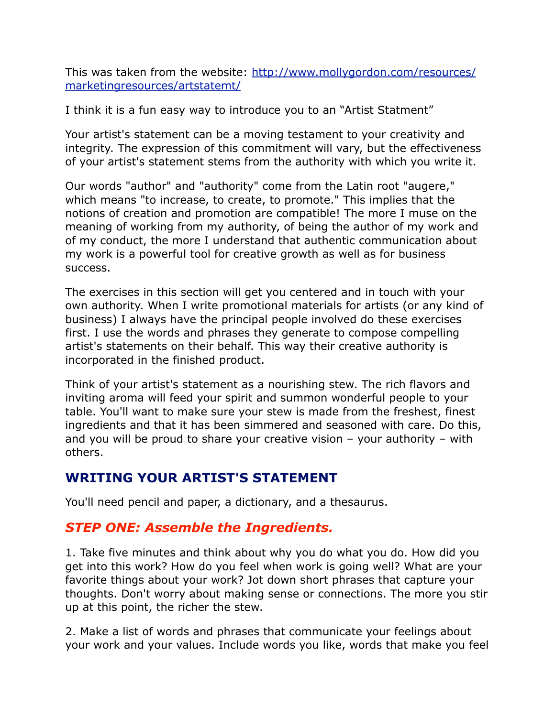This was taken from the website: [http://www.mollygordon.com/resources/](http://www.mollygordon.com/resources/marketingresources/artstatemt/) [marketingresources/artstatemt/](http://www.mollygordon.com/resources/marketingresources/artstatemt/)

I think it is a fun easy way to introduce you to an "Artist Statment"

Your artist's statement can be a moving testament to your creativity and integrity. The expression of this commitment will vary, but the effectiveness of your artist's statement stems from the authority with which you write it.

Our words "author" and "authority" come from the Latin root "augere," which means "to increase, to create, to promote." This implies that the notions of creation and promotion are compatible! The more I muse on the meaning of working from my authority, of being the author of my work and of my conduct, the more I understand that authentic communication about my work is a powerful tool for creative growth as well as for business success.

The exercises in this section will get you centered and in touch with your own authority. When I write promotional materials for artists (or any kind of business) I always have the principal people involved do these exercises first. I use the words and phrases they generate to compose compelling artist's statements on their behalf. This way their creative authority is incorporated in the finished product.

Think of your artist's statement as a nourishing stew. The rich flavors and inviting aroma will feed your spirit and summon wonderful people to your table. You'll want to make sure your stew is made from the freshest, finest ingredients and that it has been simmered and seasoned with care. Do this, and you will be proud to share your creative vision – your authority – with others.

## **WRITING YOUR ARTIST'S STATEMENT**

You'll need pencil and paper, a dictionary, and a thesaurus.

## *STEP ONE: Assemble the Ingredients.*

1. Take five minutes and think about why you do what you do. How did you get into this work? How do you feel when work is going well? What are your favorite things about your work? Jot down short phrases that capture your thoughts. Don't worry about making sense or connections. The more you stir up at this point, the richer the stew.

2. Make a list of words and phrases that communicate your feelings about your work and your values. Include words you like, words that make you feel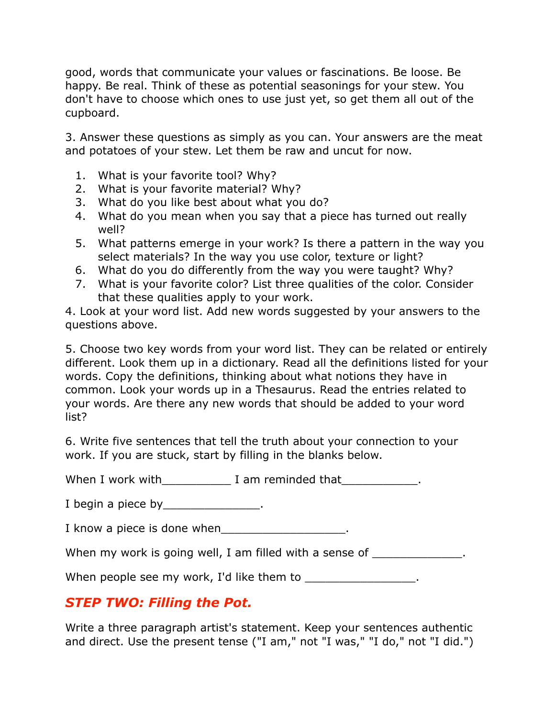good, words that communicate your values or fascinations. Be loose. Be happy. Be real. Think of these as potential seasonings for your stew. You don't have to choose which ones to use just yet, so get them all out of the cupboard.

3. Answer these questions as simply as you can. Your answers are the meat and potatoes of your stew. Let them be raw and uncut for now.

- 1. What is your favorite tool? Why?
- 2. What is your favorite material? Why?
- 3. What do you like best about what you do?
- 4. What do you mean when you say that a piece has turned out really well?
- 5. What patterns emerge in your work? Is there a pattern in the way you select materials? In the way you use color, texture or light?
- 6. What do you do differently from the way you were taught? Why?
- 7. What is your favorite color? List three qualities of the color. Consider that these qualities apply to your work.

4. Look at your word list. Add new words suggested by your answers to the questions above.

5. Choose two key words from your word list. They can be related or entirely different. Look them up in a dictionary. Read all the definitions listed for your words. Copy the definitions, thinking about what notions they have in common. Look your words up in a Thesaurus. Read the entries related to your words. Are there any new words that should be added to your word list?

6. Write five sentences that tell the truth about your connection to your work. If you are stuck, start by filling in the blanks below.

When I work with The Mann am reminded that Theorem 2.

I begin a piece by the control of the set of the set of the set of the set of the set of the set of the set of the set of the set of the set of the set of the set of the set of the set of the set of the set of the set of t

I know a piece is done when

When my work is going well, I am filled with a sense of  $\blacksquare$ 

When people see my work, I'd like them to \_\_\_\_\_\_\_\_\_\_\_\_\_\_\_\_\_.

# *STEP TWO: Filling the Pot.*

Write a three paragraph artist's statement. Keep your sentences authentic and direct. Use the present tense ("I am," not "I was," "I do," not "I did.")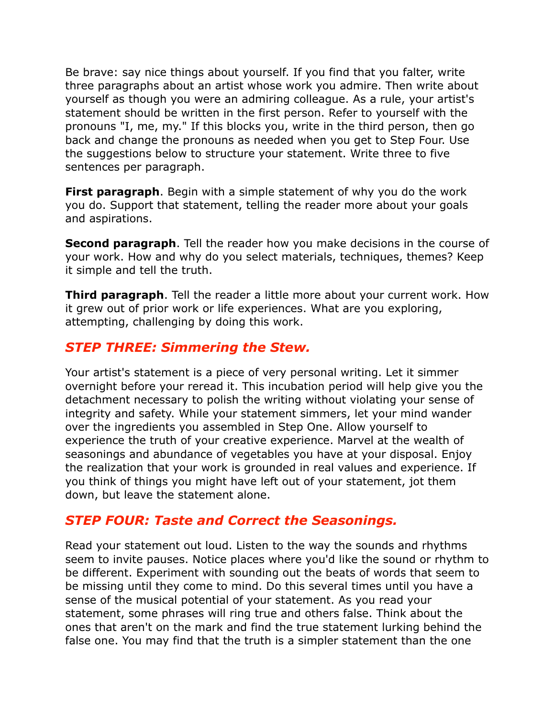Be brave: say nice things about yourself. If you find that you falter, write three paragraphs about an artist whose work you admire. Then write about yourself as though you were an admiring colleague. As a rule, your artist's statement should be written in the first person. Refer to yourself with the pronouns "I, me, my." If this blocks you, write in the third person, then go back and change the pronouns as needed when you get to Step Four. Use the suggestions below to structure your statement. Write three to five sentences per paragraph.

**First paragraph**. Begin with a simple statement of why you do the work you do. Support that statement, telling the reader more about your goals and aspirations.

**Second paragraph**. Tell the reader how you make decisions in the course of your work. How and why do you select materials, techniques, themes? Keep it simple and tell the truth.

**Third paragraph**. Tell the reader a little more about your current work. How it grew out of prior work or life experiences. What are you exploring, attempting, challenging by doing this work.

## *STEP THREE: Simmering the Stew.*

Your artist's statement is a piece of very personal writing. Let it simmer overnight before your reread it. This incubation period will help give you the detachment necessary to polish the writing without violating your sense of integrity and safety. While your statement simmers, let your mind wander over the ingredients you assembled in Step One. Allow yourself to experience the truth of your creative experience. Marvel at the wealth of seasonings and abundance of vegetables you have at your disposal. Enjoy the realization that your work is grounded in real values and experience. If you think of things you might have left out of your statement, jot them down, but leave the statement alone.

## *STEP FOUR: Taste and Correct the Seasonings.*

Read your statement out loud. Listen to the way the sounds and rhythms seem to invite pauses. Notice places where you'd like the sound or rhythm to be different. Experiment with sounding out the beats of words that seem to be missing until they come to mind. Do this several times until you have a sense of the musical potential of your statement. As you read your statement, some phrases will ring true and others false. Think about the ones that aren't on the mark and find the true statement lurking behind the false one. You may find that the truth is a simpler statement than the one